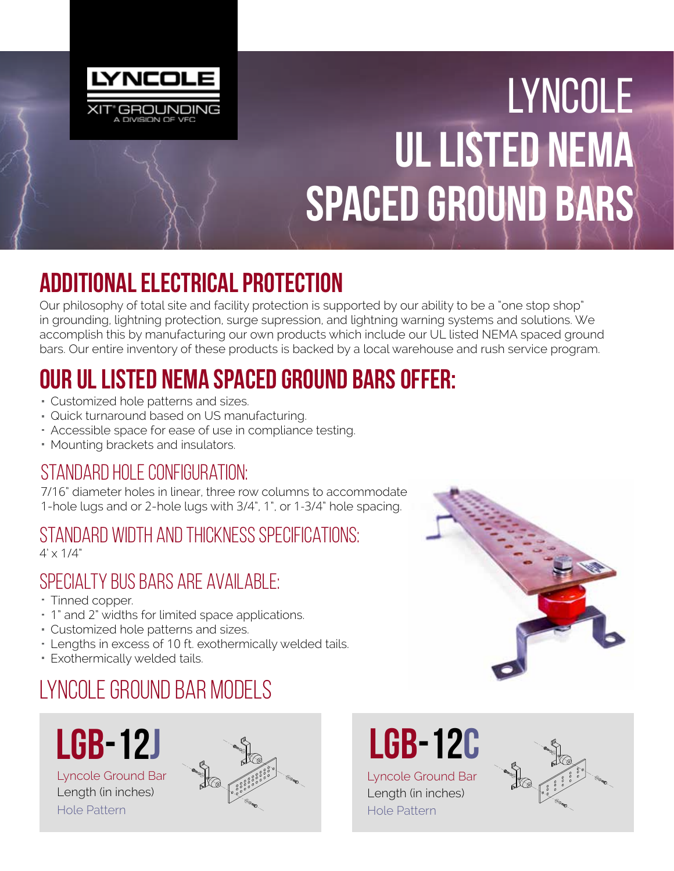

# Lyncole UL Listed NEMA Spaced Ground Bars

#### Additional Electrical Protection

Our philosophy of total site and facility protection is supported by our ability to be a "one stop shop" in grounding, lightning protection, surge supression, and lightning warning systems and solutions. We accomplish this by manufacturing our own products which include our UL listed NEMA spaced ground bars. Our entire inventory of these products is backed by a local warehouse and rush service program.

## Our UL Listed NEMA Spaced Ground Bars Offer:

- Customized hole patterns and sizes.
- Quick turnaround based on US manufacturing.
- Accessible space for ease of use in compliance testing.
- Mounting brackets and insulators.

#### Standard hole configuration:

7/16" diameter holes in linear, three row columns to accommodate 1-hole lugs and or 2-hole lugs with 3/4", 1", or 1-3/4" hole spacing.

#### Standard Width and Thickness Specifications:

 $4' \times 1/4"$ 

#### Specialty bus bars are available:

- Tinned copper.
- 1" and 2" widths for limited space applications.
- Customized hole patterns and sizes.
- Lengths in excess of 10 ft. exothermically welded tails.
- Exothermically welded tails.

#### Lyncole Ground Bar Models



Lyncole Ground Bar Length (in inches) Hole Pattern





Lyncole Ground Bar Length (in inches)

Hole Pattern